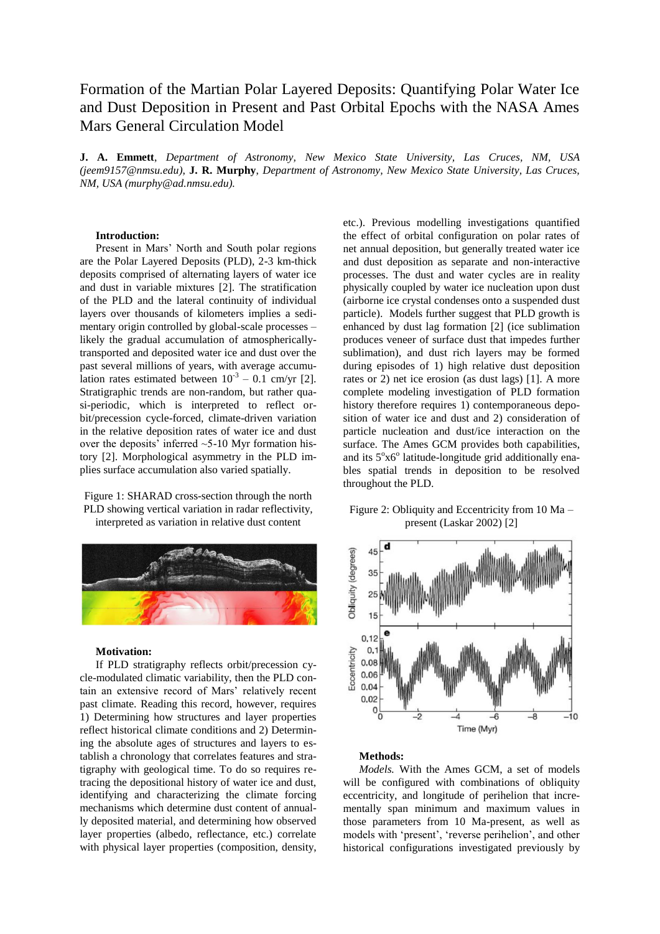# Formation of the Martian Polar Layered Deposits: Quantifying Polar Water Ice and Dust Deposition in Present and Past Orbital Epochs with the NASA Ames Mars General Circulation Model

**J. A. Emmett**, *Department of Astronomy, New Mexico State University, Las Cruces, NM, USA (jeem9157@nmsu.edu)*, **J. R. Murphy**, *Department of Astronomy, New Mexico State University, Las Cruces, NM, USA (murphy@ad.nmsu.edu).*

## **Introduction:**

Present in Mars' North and South polar regions are the Polar Layered Deposits (PLD), 2-3 km-thick deposits comprised of alternating layers of water ice and dust in variable mixtures [2]. The stratification of the PLD and the lateral continuity of individual layers over thousands of kilometers implies a sedimentary origin controlled by global-scale processes – likely the gradual accumulation of atmosphericallytransported and deposited water ice and dust over the past several millions of years, with average accumulation rates estimated between  $10^{-3} - 0.1$  cm/yr [2]. Stratigraphic trends are non-random, but rather quasi-periodic, which is interpreted to reflect orbit/precession cycle-forced, climate-driven variation in the relative deposition rates of water ice and dust over the deposits' inferred  $\sim$  5-10 Myr formation history [2]. Morphological asymmetry in the PLD implies surface accumulation also varied spatially.

Figure 1: SHARAD cross-section through the north PLD showing vertical variation in radar reflectivity, interpreted as variation in relative dust content



# **Motivation:**

If PLD stratigraphy reflects orbit/precession cycle-modulated climatic variability, then the PLD contain an extensive record of Mars' relatively recent past climate. Reading this record, however, requires 1) Determining how structures and layer properties reflect historical climate conditions and 2) Determining the absolute ages of structures and layers to establish a chronology that correlates features and stratigraphy with geological time. To do so requires retracing the depositional history of water ice and dust, identifying and characterizing the climate forcing mechanisms which determine dust content of annually deposited material, and determining how observed layer properties (albedo, reflectance, etc.) correlate with physical layer properties (composition, density, etc.). Previous modelling investigations quantified the effect of orbital configuration on polar rates of net annual deposition, but generally treated water ice and dust deposition as separate and non-interactive processes. The dust and water cycles are in reality physically coupled by water ice nucleation upon dust (airborne ice crystal condenses onto a suspended dust particle). Models further suggest that PLD growth is enhanced by dust lag formation [2] (ice sublimation produces veneer of surface dust that impedes further sublimation), and dust rich layers may be formed during episodes of 1) high relative dust deposition rates or 2) net ice erosion (as dust lags) [1]. A more complete modeling investigation of PLD formation history therefore requires 1) contemporaneous deposition of water ice and dust and 2) consideration of particle nucleation and dust/ice interaction on the surface. The Ames GCM provides both capabilities, and its 5°x6° latitude-longitude grid additionally enables spatial trends in deposition to be resolved throughout the PLD.

# Figure 2: Obliquity and Eccentricity from 10 Ma – present (Laskar 2002) [2]



### **Methods:**

*Models.* With the Ames GCM, a set of models will be configured with combinations of obliquity eccentricity, and longitude of perihelion that incrementally span minimum and maximum values in those parameters from 10 Ma-present, as well as models with 'present', 'reverse perihelion', and other historical configurations investigated previously by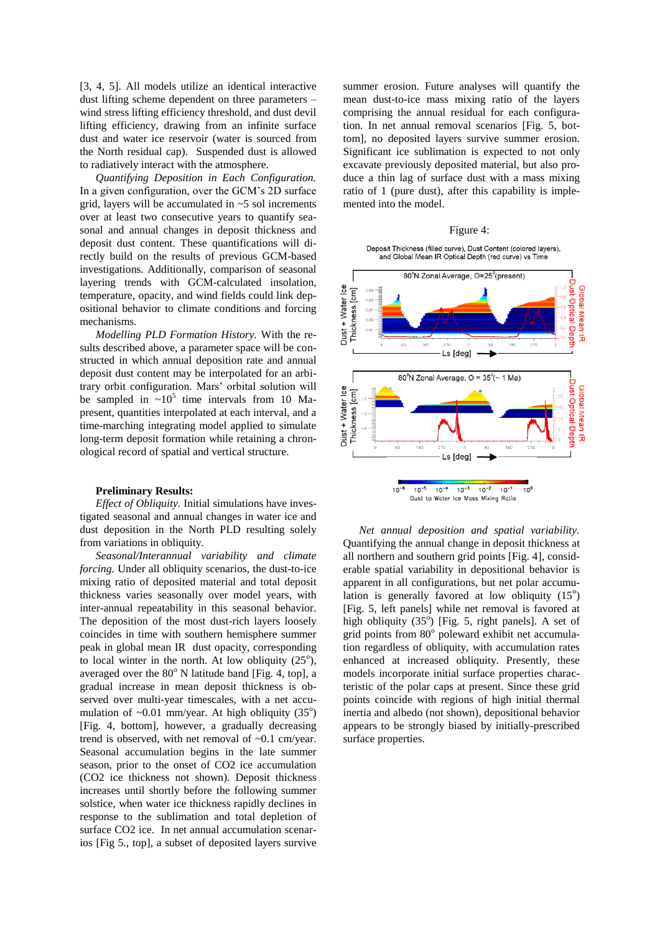[3, 4, 5]. All models utilize an identical interactive dust lifting scheme dependent on three parameters – wind stress lifting efficiency threshold, and dust devil lifting efficiency, drawing from an infinite surface dust and water ice reservoir (water is sourced from the North residual cap). Suspended dust is allowed to radiatively interact with the atmosphere.

*Quantifying Deposition in Each Configuration.* In a given configuration, over the GCM's 2D surface grid, layers will be accumulated in  $\sim$  5 sol increments over at least two consecutive years to quantify seasonal and annual changes in deposit thickness and deposit dust content. These quantifications will directly build on the results of previous GCM-based investigations. Additionally, comparison of seasonal layering trends with GCM-calculated insolation, temperature, opacity, and wind fields could link depositional behavior to climate conditions and forcing mechanisms.

*Modelling PLD Formation History.* With the results described above, a parameter space will be constructed in which annual deposition rate and annual deposit dust content may be interpolated for an arbitrary orbit configuration. Mars' orbital solution will be sampled in  $\sim 10^5$  time intervals from 10 Mapresent, quantities interpolated at each interval, and a time-marching integrating model applied to simulate long-term deposit formation while retaining a chronological record of spatial and vertical structure.

## **Preliminary Results:**

*Effect of Obliquity.* Initial simulations have investigated seasonal and annual changes in water ice and dust deposition in the North PLD resulting solely from variations in obliquity.

*Seasonal/Interannual variability and climate forcing.* Under all obliquity scenarios, the dust-to-ice mixing ratio of deposited material and total deposit thickness varies seasonally over model years, with inter-annual repeatability in this seasonal behavior. The deposition of the most dust-rich layers loosely coincides in time with southern hemisphere summer peak in global mean IR dust opacity, corresponding to local winter in the north. At low obliquity  $(25^{\circ})$ , averaged over the  $80^{\circ}$  N latitude band [Fig. 4, top], a gradual increase in mean deposit thickness is observed over multi-year timescales, with a net accumulation of  $\sim 0.01$  mm/year. At high obliquity (35°) [Fig. 4, bottom], however, a gradually decreasing trend is observed, with net removal of ~0.1 cm/year. Seasonal accumulation begins in the late summer season, prior to the onset of CO2 ice accumulation (CO2 ice thickness not shown). Deposit thickness increases until shortly before the following summer solstice, when water ice thickness rapidly declines in response to the sublimation and total depletion of surface CO2 ice. In net annual accumulation scenarios [Fig 5., top], a subset of deposited layers survive

summer erosion. Future analyses will quantify the mean dust-to-ice mass mixing ratio of the layers comprising the annual residual for each configuration. In net annual removal scenarios [Fig. 5, bottom], no deposited layers survive summer erosion. Significant ice sublimation is expected to not only excavate previously deposited material, but also produce a thin lag of surface dust with a mass mixing ratio of 1 (pure dust), after this capability is implemented into the model.

#### Figure 4:





*Net annual deposition and spatial variability.*  Quantifying the annual change in deposit thickness at all northern and southern grid points [Fig. 4], considerable spatial variability in depositional behavior is apparent in all configurations, but net polar accumulation is generally favored at low obliquity  $(15^{\circ})$ [Fig. 5, left panels] while net removal is favored at high obliquity (35°) [Fig. 5, right panels]. A set of grid points from 80° poleward exhibit net accumulation regardless of obliquity, with accumulation rates enhanced at increased obliquity. Presently, these models incorporate initial surface properties characteristic of the polar caps at present. Since these grid points coincide with regions of high initial thermal inertia and albedo (not shown), depositional behavior appears to be strongly biased by initially-prescribed surface properties.